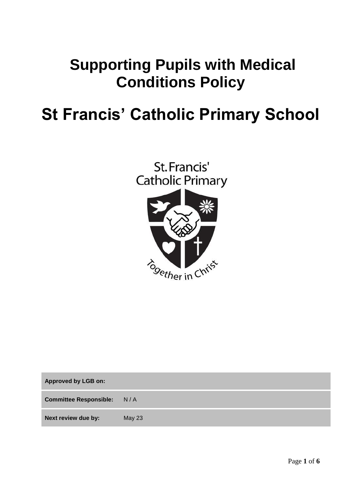## **Supporting Pupils with Medical Conditions Policy**

# **St Francis' Catholic Primary School**



**Approved by LGB on: Committee Responsible:** N / A **Next review due by:** May 23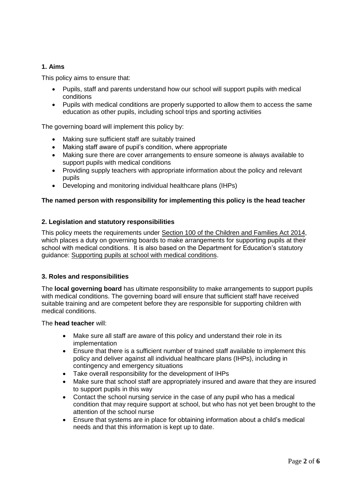## **1. Aims**

This policy aims to ensure that:

- Pupils, staff and parents understand how our school will support pupils with medical conditions
- Pupils with medical conditions are properly supported to allow them to access the same education as other pupils, including school trips and sporting activities

The governing board will implement this policy by:

- Making sure sufficient staff are suitably trained
- Making staff aware of pupil's condition, where appropriate
- Making sure there are cover arrangements to ensure someone is always available to support pupils with medical conditions
- Providing supply teachers with appropriate information about the policy and relevant pupils
- Developing and monitoring individual healthcare plans (IHPs)

#### **The named person with responsibility for implementing this policy is the head teacher**

#### **2. Legislation and statutory responsibilities**

This policy meets the requirements under [Section 100 of the Children and Families Act 2014,](http://www.legislation.gov.uk/ukpga/2014/6/part/5/crossheading/pupils-with-medical-conditions) which places a duty on governing boards to make arrangements for supporting pupils at their school with medical conditions. It is also based on the Department for Education's statutory guidance: [Supporting pupils at school with medical conditions.](https://www.gov.uk/government/uploads/system/uploads/attachment_data/file/484418/supporting-pupils-at-school-with-medical-conditions.pdf)

#### **3. Roles and responsibilities**

The **local governing board** has ultimate responsibility to make arrangements to support pupils with medical conditions. The governing board will ensure that sufficient staff have received suitable training and are competent before they are responsible for supporting children with medical conditions.

The **head teacher** will:

- Make sure all staff are aware of this policy and understand their role in its implementation
- Ensure that there is a sufficient number of trained staff available to implement this policy and deliver against all individual healthcare plans (IHPs), including in contingency and emergency situations
- Take overall responsibility for the development of IHPs
- Make sure that school staff are appropriately insured and aware that they are insured to support pupils in this way
- Contact the school nursing service in the case of any pupil who has a medical condition that may require support at school, but who has not yet been brought to the attention of the school nurse
- Ensure that systems are in place for obtaining information about a child's medical needs and that this information is kept up to date.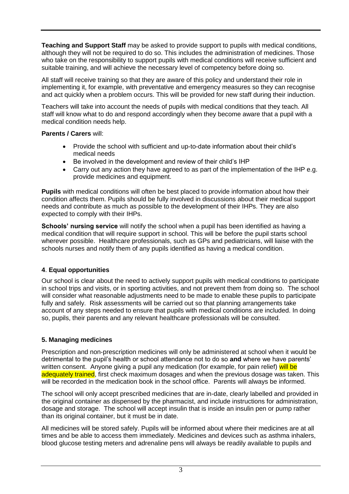**Teaching and Support Staff** may be asked to provide support to pupils with medical conditions, although they will not be required to do so. This includes the administration of medicines. Those who take on the responsibility to support pupils with medical conditions will receive sufficient and suitable training, and will achieve the necessary level of competency before doing so.

All staff will receive training so that they are aware of this policy and understand their role in implementing it, for example, with preventative and emergency measures so they can recognise and act quickly when a problem occurs. This will be provided for new staff during their induction.

Teachers will take into account the needs of pupils with medical conditions that they teach. All staff will know what to do and respond accordingly when they become aware that a pupil with a medical condition needs help.

## **Parents / Carers** will:

- Provide the school with sufficient and up-to-date information about their child's medical needs
- Be involved in the development and review of their child's IHP
- Carry out any action they have agreed to as part of the implementation of the IHP e.g. provide medicines and equipment.

**Pupils** with medical conditions will often be best placed to provide information about how their condition affects them. Pupils should be fully involved in discussions about their medical support needs and contribute as much as possible to the development of their IHPs. They are also expected to comply with their IHPs.

**Schools' nursing service** will notify the school when a pupil has been identified as having a medical condition that will require support in school. This will be before the pupil starts school wherever possible. Healthcare professionals, such as GPs and pediatricians, will liaise with the schools nurses and notify them of any pupils identified as having a medical condition.

## **4**. **Equal opportunities**

Our school is clear about the need to actively support pupils with medical conditions to participate in school trips and visits, or in sporting activities, and not prevent them from doing so. The school will consider what reasonable adjustments need to be made to enable these pupils to participate fully and safely. Risk assessments will be carried out so that planning arrangements take account of any steps needed to ensure that pupils with medical conditions are included. In doing so, pupils, their parents and any relevant healthcare professionals will be consulted.

## **5. Managing medicines**

Prescription and non-prescription medicines will only be administered at school when it would be detrimental to the pupil's health or school attendance not to do so **and** where we have parents' written consent. Anyone giving a pupil any medication (for example, for pain relief) will be adequately trained, first check maximum dosages and when the previous dosage was taken. This will be recorded in the medication book in the school office. Parents will always be informed.

The school will only accept prescribed medicines that are in-date, clearly labelled and provided in the original container as dispensed by the pharmacist, and include instructions for administration, dosage and storage. The school will accept insulin that is inside an insulin pen or pump rather than its original container, but it must be in date.

All medicines will be stored safely. Pupils will be informed about where their medicines are at all times and be able to access them immediately. Medicines and devices such as asthma inhalers, blood glucose testing meters and adrenaline pens will always be readily available to pupils and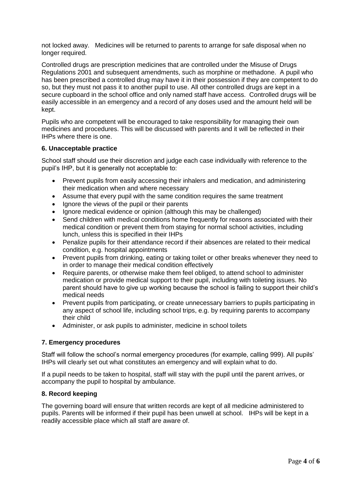not locked away. Medicines will be returned to parents to arrange for safe disposal when no longer required.

[Controlled drugs](http://www.nhs.uk/chq/Pages/1391.aspx?CategoryID=73) are prescription medicines that are controlled under the [Misuse of Drugs](http://www.legislation.gov.uk/uksi/2001/3998/schedule/1/made)  [Regulations](http://www.legislation.gov.uk/uksi/2001/3998/schedule/1/made) 2001 and subsequent amendments, such as morphine or methadone. A pupil who has been prescribed a controlled drug may have it in their possession if they are competent to do so, but they must not pass it to another pupil to use. All other controlled drugs are kept in a secure cupboard in the school office and only named staff have access. Controlled drugs will be easily accessible in an emergency and a record of any doses used and the amount held will be kept.

Pupils who are competent will be encouraged to take responsibility for managing their own medicines and procedures. This will be discussed with parents and it will be reflected in their IHPs where there is one.

#### **6. Unacceptable practice**

School staff should use their discretion and judge each case individually with reference to the pupil's IHP, but it is generally not acceptable to:

- Prevent pupils from easily accessing their inhalers and medication, and administering their medication when and where necessary
- Assume that every pupil with the same condition requires the same treatment
- Ignore the views of the pupil or their parents
- Ignore medical evidence or opinion (although this may be challenged)
- Send children with medical conditions home frequently for reasons associated with their medical condition or prevent them from staying for normal school activities, including lunch, unless this is specified in their IHPs
- Penalize pupils for their attendance record if their absences are related to their medical condition, e.g. hospital appointments
- Prevent pupils from drinking, eating or taking toilet or other breaks whenever they need to in order to manage their medical condition effectively
- Require parents, or otherwise make them feel obliged, to attend school to administer medication or provide medical support to their pupil, including with toileting issues. No parent should have to give up working because the school is failing to support their child's medical needs
- Prevent pupils from participating, or create unnecessary barriers to pupils participating in any aspect of school life, including school trips, e.g. by requiring parents to accompany their child
- Administer, or ask pupils to administer, medicine in school toilets

#### **7. Emergency procedures**

Staff will follow the school's normal emergency procedures (for example, calling 999). All pupils' IHPs will clearly set out what constitutes an emergency and will explain what to do.

If a pupil needs to be taken to hospital, staff will stay with the pupil until the parent arrives, or accompany the pupil to hospital by ambulance.

#### **8. Record keeping**

The governing board will ensure that written records are kept of all medicine administered to pupils. Parents will be informed if their pupil has been unwell at school. IHPs will be kept in a readily accessible place which all staff are aware of.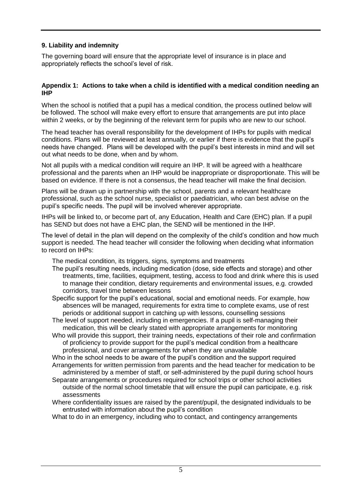## **9. Liability and indemnity**

The governing board will ensure that the appropriate level of insurance is in place and appropriately reflects the school's level of risk.

### **Appendix 1: Actions to take when a child is identified with a medical condition needing an IHP**

When the school is notified that a pupil has a medical condition, the process outlined below will be followed. The school will make every effort to ensure that arrangements are put into place within 2 weeks, or by the beginning of the relevant term for pupils who are new to our school.

The head teacher has overall responsibility for the development of IHPs for pupils with medical conditions. Plans will be reviewed at least annually, or earlier if there is evidence that the pupil's needs have changed. Plans will be developed with the pupil's best interests in mind and will set out what needs to be done, when and by whom.

Not all pupils with a medical condition will require an IHP. It will be agreed with a healthcare professional and the parents when an IHP would be inappropriate or disproportionate. This will be based on evidence. If there is not a consensus, the head teacher will make the final decision.

Plans will be drawn up in partnership with the school, parents and a relevant healthcare professional, such as the school nurse, specialist or paediatrician, who can best advise on the pupil's specific needs. The pupil will be involved wherever appropriate.

IHPs will be linked to, or become part of, any Education, Health and Care (EHC) plan. If a pupil has SEND but does not have a EHC plan, the SEND will be mentioned in the IHP.

The level of detail in the plan will depend on the complexity of the child's condition and how much support is needed. The head teacher will consider the following when deciding what information to record on IHPs:

The medical condition, its triggers, signs, symptoms and treatments

- The pupil's resulting needs, including medication (dose, side effects and storage) and other treatments, time, facilities, equipment, testing, access to food and drink where this is used to manage their condition, dietary requirements and environmental issues, e.g. crowded corridors, travel time between lessons
- Specific support for the pupil's educational, social and emotional needs. For example, how absences will be managed, requirements for extra time to complete exams, use of rest periods or additional support in catching up with lessons, counselling sessions
- The level of support needed, including in emergencies. If a pupil is self-managing their medication, this will be clearly stated with appropriate arrangements for monitoring
- Who will provide this support, their training needs, expectations of their role and confirmation of proficiency to provide support for the pupil's medical condition from a healthcare professional, and cover arrangements for when they are unavailable
- Who in the school needs to be aware of the pupil's condition and the support required Arrangements for written permission from parents and the head teacher for medication to be administered by a member of staff, or self-administered by the pupil during school hours
- Separate arrangements or procedures required for school trips or other school activities outside of the normal school timetable that will ensure the pupil can participate, e.g. risk assessments
- Where confidentiality issues are raised by the parent/pupil, the designated individuals to be entrusted with information about the pupil's condition

What to do in an emergency, including who to contact, and contingency arrangements